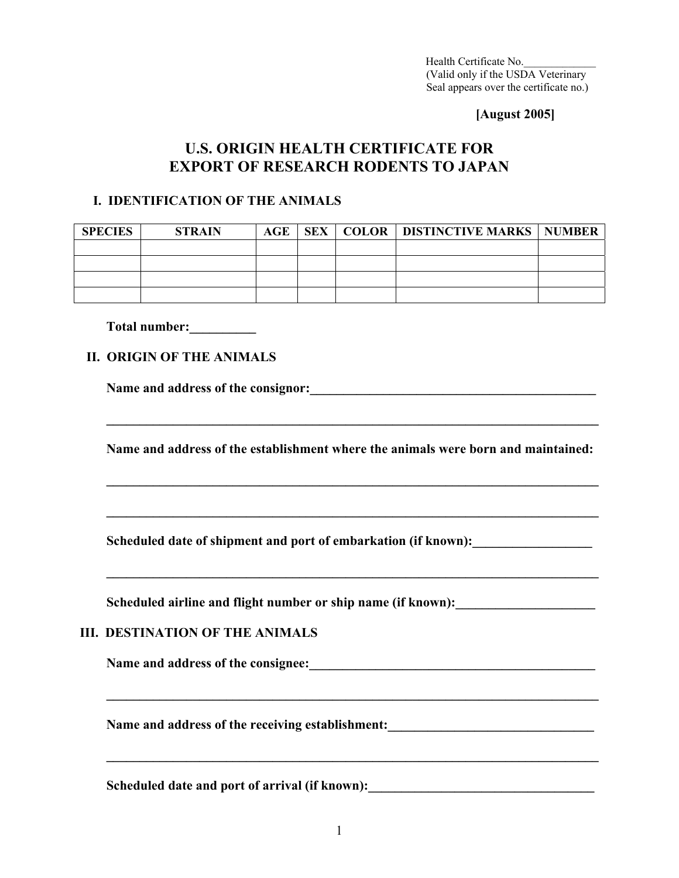Health Certificate No. (Valid only if the USDA Veterinary Seal appears over the certificate no.)

 **[August 2005]** 

# **U.S. ORIGIN HEALTH CERTIFICATE FOR EXPORT OF RESEARCH RODENTS TO JAPAN**

## **I. IDENTIFICATION OF THE ANIMALS**

| <b>SPECIES</b> | <b>STRAIN</b> | $\mathbf{AGE}$ |  | SEX   COLOR   DISTINCTIVE MARKS   NUMBER |  |
|----------------|---------------|----------------|--|------------------------------------------|--|
|                |               |                |  |                                          |  |
|                |               |                |  |                                          |  |
|                |               |                |  |                                          |  |
|                |               |                |  |                                          |  |

 **Total number:\_\_\_\_\_\_\_\_\_\_** 

# **II. ORIGIN OF THE ANIMALS**

 **Name and address of the consignor:\_\_\_\_\_\_\_\_\_\_\_\_\_\_\_\_\_\_\_\_\_\_\_\_\_\_\_\_\_\_\_\_\_\_\_\_\_\_\_\_\_\_\_** 

 **Name and address of the establishment where the animals were born and maintained:** 

 $\mathcal{L} = \{ \mathcal{L} = \{ \mathcal{L} \mid \mathcal{L} = \{ \mathcal{L} \mid \mathcal{L} = \{ \mathcal{L} \mid \mathcal{L} = \{ \mathcal{L} \mid \mathcal{L} = \{ \mathcal{L} \mid \mathcal{L} = \{ \mathcal{L} \mid \mathcal{L} = \{ \mathcal{L} \mid \mathcal{L} = \{ \mathcal{L} \mid \mathcal{L} = \{ \mathcal{L} \mid \mathcal{L} = \{ \mathcal{L} \mid \mathcal{L} = \{ \mathcal{L} \mid \mathcal{L} = \{ \mathcal{L} \mid \mathcal{L} =$ 

 $\mathcal{L} = \{ \mathcal{L} = \{ \mathcal{L} \mid \mathcal{L} = \{ \mathcal{L} \mid \mathcal{L} = \{ \mathcal{L} \mid \mathcal{L} = \{ \mathcal{L} \mid \mathcal{L} = \{ \mathcal{L} \mid \mathcal{L} = \{ \mathcal{L} \mid \mathcal{L} = \{ \mathcal{L} \mid \mathcal{L} = \{ \mathcal{L} \mid \mathcal{L} = \{ \mathcal{L} \mid \mathcal{L} = \{ \mathcal{L} \mid \mathcal{L} = \{ \mathcal{L} \mid \mathcal{L} = \{ \mathcal{L} \mid \mathcal{L} =$ 

 $\mathcal{L} = \{ \mathcal{L} = \{ \mathcal{L} \mid \mathcal{L} = \{ \mathcal{L} \mid \mathcal{L} = \{ \mathcal{L} \mid \mathcal{L} = \{ \mathcal{L} \mid \mathcal{L} = \{ \mathcal{L} \mid \mathcal{L} = \{ \mathcal{L} \mid \mathcal{L} = \{ \mathcal{L} \mid \mathcal{L} = \{ \mathcal{L} \mid \mathcal{L} = \{ \mathcal{L} \mid \mathcal{L} = \{ \mathcal{L} \mid \mathcal{L} = \{ \mathcal{L} \mid \mathcal{L} = \{ \mathcal{L} \mid \mathcal{L} =$ 

 $\mathcal{L} = \{ \mathcal{L} = \{ \mathcal{L} \mid \mathcal{L} = \{ \mathcal{L} \mid \mathcal{L} = \{ \mathcal{L} \mid \mathcal{L} = \{ \mathcal{L} \mid \mathcal{L} = \{ \mathcal{L} \mid \mathcal{L} = \{ \mathcal{L} \mid \mathcal{L} = \{ \mathcal{L} \mid \mathcal{L} = \{ \mathcal{L} \mid \mathcal{L} = \{ \mathcal{L} \mid \mathcal{L} = \{ \mathcal{L} \mid \mathcal{L} = \{ \mathcal{L} \mid \mathcal{L} = \{ \mathcal{L} \mid \mathcal{L} =$ 

 $\mathcal{L}_\mathcal{L} = \mathcal{L}_\mathcal{L} = \mathcal{L}_\mathcal{L} = \mathcal{L}_\mathcal{L} = \mathcal{L}_\mathcal{L} = \mathcal{L}_\mathcal{L} = \mathcal{L}_\mathcal{L} = \mathcal{L}_\mathcal{L} = \mathcal{L}_\mathcal{L} = \mathcal{L}_\mathcal{L} = \mathcal{L}_\mathcal{L} = \mathcal{L}_\mathcal{L} = \mathcal{L}_\mathcal{L} = \mathcal{L}_\mathcal{L} = \mathcal{L}_\mathcal{L} = \mathcal{L}_\mathcal{L} = \mathcal{L}_\mathcal{L}$ 

 $\mathcal{L}_\mathcal{L} = \mathcal{L}_\mathcal{L} = \mathcal{L}_\mathcal{L} = \mathcal{L}_\mathcal{L} = \mathcal{L}_\mathcal{L} = \mathcal{L}_\mathcal{L} = \mathcal{L}_\mathcal{L} = \mathcal{L}_\mathcal{L} = \mathcal{L}_\mathcal{L} = \mathcal{L}_\mathcal{L} = \mathcal{L}_\mathcal{L} = \mathcal{L}_\mathcal{L} = \mathcal{L}_\mathcal{L} = \mathcal{L}_\mathcal{L} = \mathcal{L}_\mathcal{L} = \mathcal{L}_\mathcal{L} = \mathcal{L}_\mathcal{L}$ 

Scheduled date of shipment and port of embarkation (if known): \_\_\_\_\_\_\_\_\_\_\_\_\_\_\_\_\_

Scheduled airline and flight number or ship name (if known):

#### **III. DESTINATION OF THE ANIMALS**

 **Name and address of the consignee:\_\_\_\_\_\_\_\_\_\_\_\_\_\_\_\_\_\_\_\_\_\_\_\_\_\_\_\_\_\_\_\_\_\_\_\_\_\_\_\_\_\_\_** 

 **Name and address of the receiving establishment:\_\_\_\_\_\_\_\_\_\_\_\_\_\_\_\_\_\_\_\_\_\_\_\_\_\_\_\_\_\_\_** 

Scheduled date and port of arrival (if known): \_\_\_\_\_\_\_\_\_\_\_\_\_\_\_\_\_\_\_\_\_\_\_\_\_\_\_\_\_\_\_\_\_\_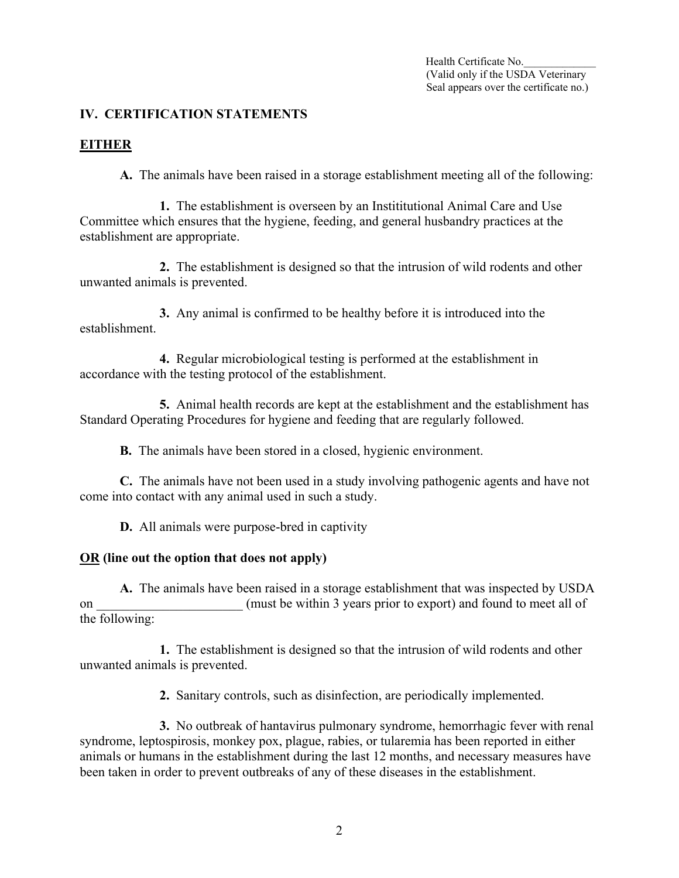Health Certificate No. (Valid only if the USDA Veterinary Seal appears over the certificate no.)

#### **IV. CERTIFICATION STATEMENTS**

## **EITHER**

**A.** The animals have been raised in a storage establishment meeting all of the following:

 **1.** The establishment is overseen by an Instititutional Animal Care and Use Committee which ensures that the hygiene, feeding, and general husbandry practices at the establishment are appropriate.

 **2.** The establishment is designed so that the intrusion of wild rodents and other unwanted animals is prevented.

 **3.** Any animal is confirmed to be healthy before it is introduced into the establishment.

 **4.** Regular microbiological testing is performed at the establishment in accordance with the testing protocol of the establishment.

 **5.** Animal health records are kept at the establishment and the establishment has Standard Operating Procedures for hygiene and feeding that are regularly followed.

**B.** The animals have been stored in a closed, hygienic environment.

**C.** The animals have not been used in a study involving pathogenic agents and have not come into contact with any animal used in such a study.

**D.** All animals were purpose-bred in captivity

#### **OR (line out the option that does not apply)**

**A.** The animals have been raised in a storage establishment that was inspected by USDA on  $(must be within 3 years prior to export) and found to meet all of$ the following:

 **1.** The establishment is designed so that the intrusion of wild rodents and other unwanted animals is prevented.

**2.** Sanitary controls, such as disinfection, are periodically implemented.

 **3.** No outbreak of hantavirus pulmonary syndrome, hemorrhagic fever with renal syndrome, leptospirosis, monkey pox, plague, rabies, or tularemia has been reported in either animals or humans in the establishment during the last 12 months, and necessary measures have been taken in order to prevent outbreaks of any of these diseases in the establishment.